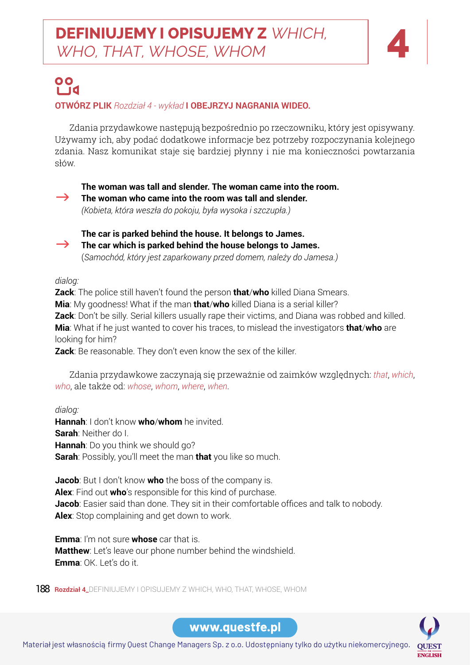

### 00 ⊔d **OTWÓRZ PLIK** *Rozdział 4 - wykład* **I OBEJRZYJ NAGRANIA WIDEO.**

Zdania przydawkowe następują bezpośrednio po rzeczowniku, który jest opisywany. Używamy ich, aby podać dodatkowe informacje bez potrzeby rozpoczynania kolejnego zdania. Nasz komunikat staje się bardziej płynny i nie ma konieczności powtarzania słów.

#### **The woman was tall and slender. The woman came into the room.**

The woman who came into the room was tall and slender.

*(Kobieta, która weszła do pokoju, była wysoka i szczupła.)*



**The car is parked behind the house. It belongs to James.**   $\rightarrow$  The car which is parked behind the house belongs to James. (*Samochód, który jest zaparkowany przed domem, należy do Jamesa.)*

*dialog:*

**Zack**: The police still haven't found the person **that/who** killed Diana Smears. **Mia**: My goodness! What if the man **that**/**who** killed Diana is a serial killer? **Zack**: Don't be silly. Serial killers usually rape their victims, and Diana was robbed and killed. **Mia**: What if he just wanted to cover his traces, to mislead the investigators **that**/**who** are looking for him?

**Zack**: Be reasonable. They don't even know the sex of the killer.

Zdania przydawkowe zaczynają się przeważnie od zaimków względnych: *that*, *which*, *who*, ale także od: *whose*, *whom*, *where*, *when*.

*dialog:*

**Hannah**: I don't know **who**/**whom** he invited. **Sarah**: Neither do I. **Hannah**: Do you think we should go? **Sarah**: Possibly, you'll meet the man **that** you like so much.

**Jacob**: But I don't know **who** the boss of the company is. **Alex**: Find out **who**'s responsible for this kind of purchase. **Jacob**: Easier said than done. They sit in their comfortable offices and talk to nobody. **Alex**: Stop complaining and get down to work.

**Matthew**: Let's leave our phone number behind the windshield. **Emma**: I'm not sure **whose** car that is. **Emma**: OK. Let's do it.

188 **Rozdział 4\_**DEFINIUJEMY I OPISUJEMY Z WHICH, WHO, THAT, WHOSE, WHOM

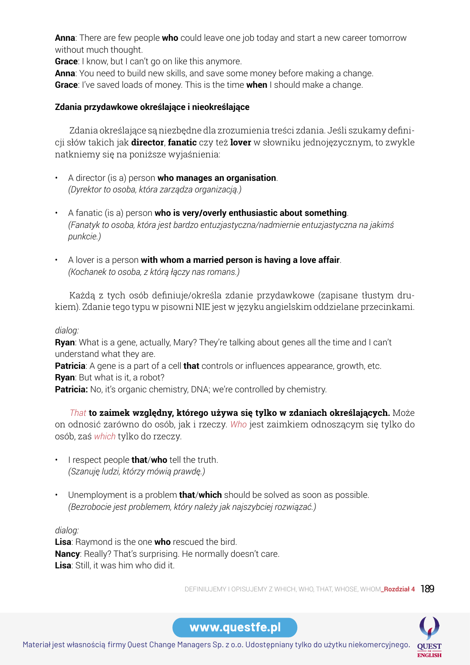**anna**: There are few people **who** could leave one job today and start a new career tomorrow without much thought.

**Grace**: I know, but I can't go on like this anymore.

**anna**: You need to build new skills, and save some money before making a change. **Grace**: I've saved loads of money. This is the time **when** I should make a change.

#### **Zdania przydawkowe określające i nieokreślające**

**Table** 12Pack English Zdania określające są niezbędne dla zrozumienia treści zdania. Jeśli szukamy definicji słów takich jak **director**, **fanatic** czy też **lover** w słowniku jednojęzycznym, to zwykle natkniemy się na poniższe wyjaśnienia:

- A director (is a) person **who manages an organisation**. *(Dyrektor to osoba, która zarządza organizacją.)*
- A fanatic (is a) person **who is very/overly enthusiastic about something**. *(Fanatyk to osoba, która jest bardzo entuzjastyczna/nadmiernie entuzjastyczna na jakimś punkcie.)*
- A lover is a person **with whom a married person is having a love affair**. *(Kochanek to osoba, z którą łączy nas romans.)*

Każdą z tych osób definiuje/określa zdanie przydawkowe (zapisane tłustym drukiem). Zdanie tego typu w pisowni NIE jest w języku angielskim oddzielane przecinkami.

#### *dialog:*

**Ryan**: What is a gene, actually, Mary? They're talking about genes all the time and I can't understand what they are.

**Patricia**: A gene is a part of a cell **that** controls or influences appearance, growth, etc.

**Ryan**: But what is it, a robot?

**Patricia:** No, it's organic chemistry, DNA; we're controlled by chemistry.

*That* **to zaimek względny, którego używa się tylko w zdaniach określających.** Może on odnosić zarówno do osób, jak i rzeczy. *Who* jest zaimkiem odnoszącym się tylko do osób, zaś *which* tylko do rzeczy.

- PAST PERFECT PRESENT PERFECT FUTURE PERFECT • I respect people **that**/**who** tell the truth. *(Szanuję ludzi, którzy mówią prawdę.)*
- Unemployment is a problem **that**/**which** should be solved as soon as possible. *(Bezrobocie jest problemem, który należy jak najszybciej rozwiązać.)*

*dialog:*

**Nancy**: Really? That's surprising. He normally doesn't care. **Lisa**: Raymond is the one **who** rescued the bird. **Lisa**: Still, it was him who did it.

DEFINIUJEMY I OPISUJEMY Z WHICH, WHO, THAT, WHOSE, WHOM**\_Rozdział 4** 189



www.questfe.pl

Materiał jest własnością firmy Ques[t Change Managers Sp. z o.o. Udostępniany tylko do](https://questfe.pl/) użytku niekomercyjnego.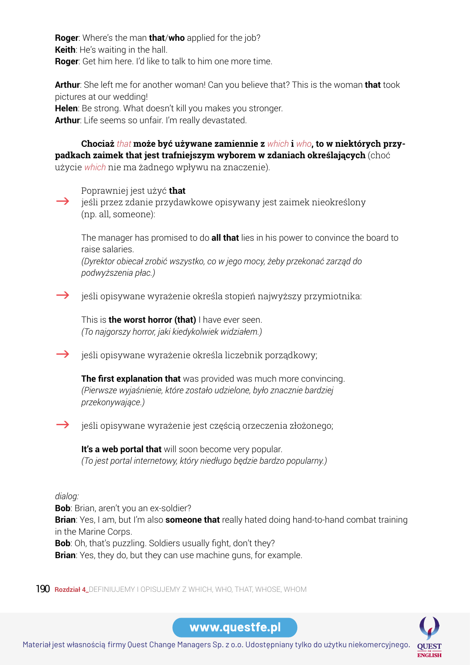**Roger**: Where's the man **that**/**who** applied for the job? **Keith**: He's waiting in the hall. **Roger**: Get him here. I'd like to talk to him one more time.

**Arthur**: She left me for another woman! Can you believe that? This is the woman **that** took pictures at our wedding! **Helen**: Be strong. What doesn't kill you makes you stronger. **Arthur**: Life seems so unfair. I'm really devastated.

**Tabela 12Pack English** użycie *which* nie ma żadnego wpływu na znaczenie). **Chociaż** *that* **może być używane zamiennie z** *which* **i** *who***, to w niektórych przypadkach zaimek that jest trafniejszym wyborem w zdaniach określających** (choć

Poprawniej jest użyć **that**

jeśli przez zdanie przydawkowe opisywany jest zaimek nieokreślony (np. all, someone):

The manager has promised to do **all that** lies in his power to convince the board to raise salaries.

*(Dyrektor obiecał zrobić wszystko, co w jego mocy, żeby przekonać zarząd do podwyższenia płac.)*

 $\rightarrow$  jeśli opisywane wyrażenie określa stopień najwyższy przymiotnika:

This is **the worst horror (that)** I have ever seen. *(To najgorszy horror, jaki kiedykolwiek widziałem.)*

 $\rightarrow$  jeśli opisywane wyrażenie określa liczebnik porządkowy;

**The first explanation that** was provided was much more convincing. *(Pierwsze wyjaśnienie, które zostało udzielone, było znacznie bardziej przekonywające.)*

 $\rightarrow$  jeśli opisywane wyrażenie jest częścią orzeczenia złożonego;

**It's a web portal that** will soon become very popular. *(To jest portal internetowy, który niedługo będzie bardzo popularny.)*

#### *dialog:*

**Bob**: Brian, aren't you an ex-soldier? **Brian**: Yes, I am, but I'm also **someone that** really hated doing hand-to-hand combat training in the Marine Corps. **Bob**: Oh, that's puzzling. Soldiers usually fight, don't they?

**Brian**: Yes, they do, but they can use machine guns, for example.

190 **Rozdział 4\_**DEFINIUJEMY I OPISUJEMY Z WHICH, WHO, THAT, WHOSE, WHOM

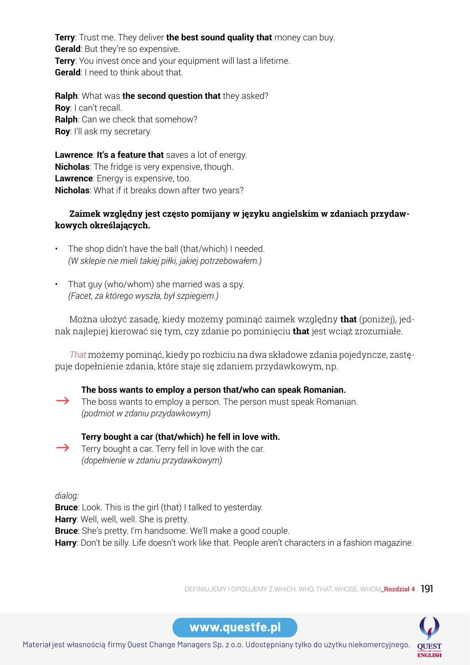**Terry**: Trust me. They deliver **the best sound quality that** money can buy. **Gerald**: But they're so expensive. **Terry**: You invest once and your equipment will last a lifetime. **Gerald:** I need to think about that.

**Ralph**: What was **the second question that** they asked? **Roy**: I can't recall. **Ralph**: Can we check that somehow? **Roy**: I'll ask my secretary.

**Table 12Pack Englisher Care and Street Englisher Street Billships.**<br>**Nicholas**: The fridge is very expensive, though. **Lawrence**: **It's a feature that** saves a lot of energy. **Lawrence**: Energy is expensive, too. **Nicholas**: What if it breaks down after two years?

#### **Zaimek względny jest często pomijany w języku angielskim w zdaniach przydawkowych określających.**

- The shop didn't have the ball (that/which) I needed. *(W sklepie nie mieli takiej piłki, jakiej potrzebowałem.)*
- PAST SIMPLE PRESENT SIMPLE FUTURE SIMPLE *(Facet, za którego wyszła, był szpiegiem.)* • That guy (who/whom) she married was a spy.

Można ułożyć zasadę, kiedy możemy pominąć zaimek względny **that** (poniżej), jednak najlepiej kierować się tym, czy zdanie po pominięciu **that** jest wciąż zrozumiałe.

puje dopełnienie zdania, które staje się zdaniem przydawkowym, np. *That* możemy pominąć, kiedy po rozbiciu na dwa składowe zdania pojedyncze, zastę-

**The boss wants to employ a person that/who can speak Romanian.**   $\rightarrow$  The boss wants to employ a person. The person must speak Romanian. *(podmiot w zdaniu przydawkowym)*

### **Terry bought a car (that/which) he fell in love with.**

 $\rightarrow$  Terry bought a car. Terry fell in love with the car. *(dopełnienie w zdaniu przydawkowym)*

*dialog:*

**Bruce**: Look. This is the girl (that) I talked to yesterday.

**Harry**: Well, well, well. She is pretty.

**Bruce**: She's pretty. I'm handsome. We'll make a good couple.

**Harry**: Don't be silly. Life doesn't work like that. People aren't characters in a fashion magazine.

DEFINIUJEMY I OPISUJEMY Z WHICH, WHO, THAT, WHOSE, WHOM**\_Rozdział 4** 191

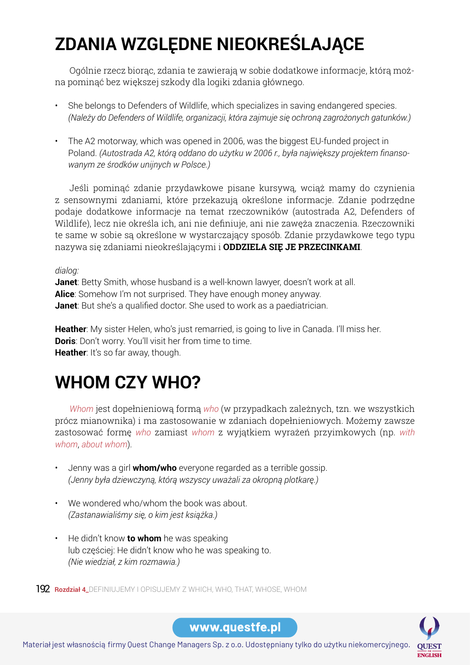# **ZDANIA WZGLĘDNE NIEOKREŚLAJĄCE**

Ogólnie rzecz biorąc, zdania te zawierają w sobie dodatkowe informacje, którą można pominąć bez większej szkody dla logiki zdania głównego.

- She belongs to Defenders of Wildlife, which specializes in saving endangered species. *(Należy do Defenders of Wildlife, organizacji, która zajmuje się ochroną zagrożonych gatunków.)*
- **Tabela 12Pack English** *wanym ze środków unijnych w Polsce.)* • The A2 motorway, which was opened in 2006, was the biggest EU-funded project in Poland. *(Autostrada A2, którą oddano do użytku w 2006 r., była największy projektem finanso-*

Jeśli pominąć zdanie przydawkowe pisane kursywą, wciąż mamy do czynienia z sensownymi zdaniami, które przekazują określone informacje. Zdanie podrzędne podaje dodatkowe informacje na temat rzeczowników (autostrada A2, Defenders of Wildlife), lecz nie określa ich, ani nie definiuje, ani nie zawęża znaczenia. Rzeczowniki te same w sobie są określone w wystarczający sposób. Zdanie przydawkowe tego typu nazywa się zdaniami nieokreślającymi i **ODDZIELA SIĘ JE PRZECINKAMI**.

#### *dialog:*

**Alice**: Somehow I'm not surprised. They have enough money anyway. **Janet**: Betty Smith, whose husband is a well-known lawyer, doesn't work at all. **Janet**: But she's a qualified doctor. She used to work as a paediatrician.

**Heather**: My sister Helen, who's just remarried, is going to live in Canada. I'll miss her. **Doris**: Don't worry. You'll visit her from time to time. **Heather**: It's so far away, though.

# **WHOM CZY WHO?**

*Whom* jest dopełnieniową formą *who* (w przypadkach zależnych, tzn. we wszystkich prócz mianownika) i ma zastosowanie w zdaniach dopełnieniowych. Możemy zawsze zastosować formę *who* zamiast *whom* z wyjątkiem wyrażeń przyimkowych (np. *with whom*, *about whom*).

- (Jenny była dziewczyną, którą wszyscy uważali za okropną plotkarę.) • Jenny was a girl **whom/who** everyone regarded as a terrible gossip.
- We wondered who/whom the book was about. *(Zastanawialiśmy się, o kim jest książka.)*
- lub częściej: He didn't know who he was speaking to. • He didn't know **to whom** he was speaking *(Nie wiedział, z kim rozmawia.)*

192 **Rozdział 4\_**DEFINIUJEMY I OPISUJEMY Z WHICH, WHO, THAT, WHOSE, WHOM

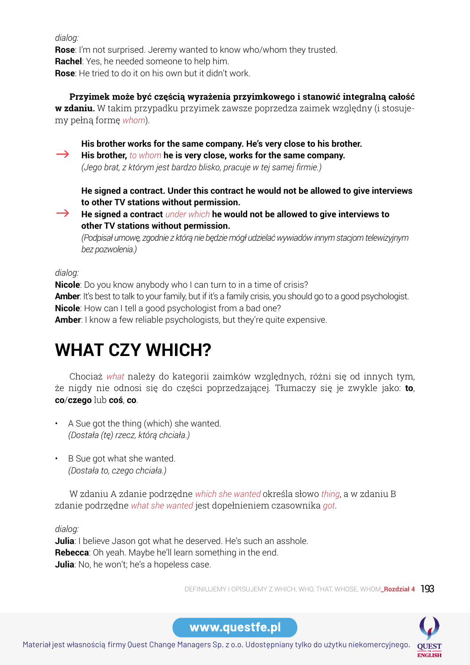*dialog:*

**Rose**: I'm not surprised. Jeremy wanted to know who/whom they trusted. **Rachel**: Yes, he needed someone to help him. **Rose**: He tried to do it on his own but it didn't work.

**Przyimek może być częścią wyrażenia przyimkowego i stanowić integralną całość w zdaniu.** W takim przypadku przyimek zawsze poprzedza zaimek względny (i stosujemy pełną formę *whom*).

**His brother works for the same company. He's very close to his brother.**

**Tabela 12Pack English** *(Jego brat, z którym jest bardzo blisko, pracuje w tej samej firmie.)* **EXECT** His brother, *to whom* he is very close, works for the same company.

**He signed a contract. Under this contract he would not be allowed to give interviews to other TV stations without permission.** 

 $\rightarrow$  He signed a contract *under which* he would not be allowed to give interviews to **other TV stations without permission.**

*(Podpisał umowę, zgodnie z którą nie będzie mógł udzielać wywiadów innym stacjom telewizyjnym bez pozwolenia.)*

### *dialog:*

Amber: It's best to talk to your family, but if it's a family crisis, you should go to a good psychologist. **Nicole**: Do you know anybody who I can turn to in a time of crisis? **Nicole**: How can I tell a good psychologist from a bad one? **Amber**: I know a few reliable psychologists, but they're quite expensive.

# **WHAT CZY WHICH?**

Chociaż *what* należy do kategorii zaimków względnych, różni się od innych tym, że nigdy nie odnosi się do części poprzedzającej. Tłumaczy się je zwykle jako: **to**, **co**/**czego** lub **coś**, **co**.

- A Sue got the thing (which) she wanted. *(Dostała (tę) rzecz, którą chciała.)*
- B Sue got what she wanted. *(Dostała to, czego chciała.)*

W zdaniu A zdanie podrzędne *which she wanted* określa słowo *thing*, a w zdaniu B zdanie podrzędne *what she wanted* jest dopełnieniem czasownika *got*.

## *dialog:*

**Rebecca**: Oh yeah. Maybe he'll learn something in the end. **Julia**: I believe Jason got what he deserved. He's such an asshole. **Julia**: No, he won't; he's a hopeless case.

DEFINIUJEMY I OPISUJEMY Z WHICH, WHO, THAT, WHOSE, WHOM**\_Rozdział 4** 193